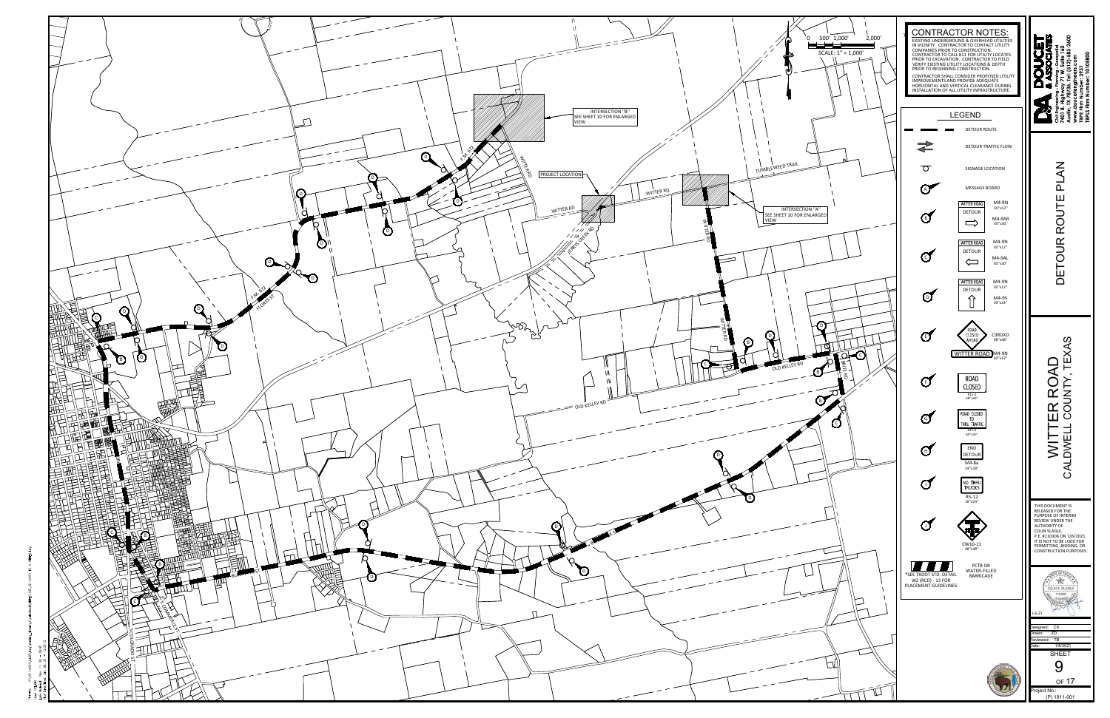

¤ š  $\frac{1}{2}$   $\frac{1}{2}$   $\frac{1}{2}$   $\frac{1}{2}$   $\frac{1}{2}$   $\frac{1}{2}$